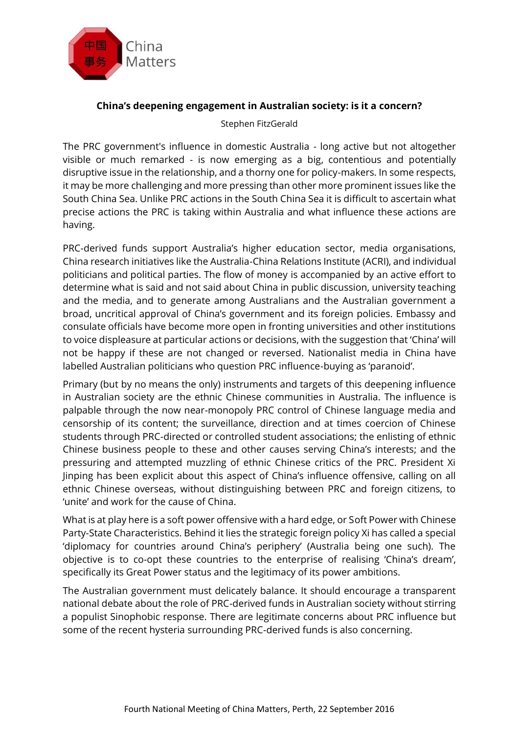

## **China's deepening engagement in Australian society: is it a concern?**

Stephen FitzGerald

The PRC government's influence in domestic Australia - long active but not altogether visible or much remarked - is now emerging as a big, contentious and potentially disruptive issue in the relationship, and a thorny one for policy-makers. In some respects, it may be more challenging and more pressing than other more prominent issues like the South China Sea. Unlike PRC actions in the South China Sea it is difficult to ascertain what precise actions the PRC is taking within Australia and what influence these actions are having.

PRC-derived funds support Australia's higher education sector, media organisations, China research initiatives like the Australia-China Relations Institute (ACRI), and individual politicians and political parties. The flow of money is accompanied by an active effort to determine what is said and not said about China in public discussion, university teaching and the media, and to generate among Australians and the Australian government a broad, uncritical approval of China's government and its foreign policies. Embassy and consulate officials have become more open in fronting universities and other institutions to voice displeasure at particular actions or decisions, with the suggestion that 'China' will not be happy if these are not changed or reversed. Nationalist media in China have labelled Australian politicians who question PRC influence-buying as 'paranoid'.

Primary (but by no means the only) instruments and targets of this deepening influence in Australian society are the ethnic Chinese communities in Australia. The influence is palpable through the now near-monopoly PRC control of Chinese language media and censorship of its content; the surveillance, direction and at times coercion of Chinese students through PRC-directed or controlled student associations; the enlisting of ethnic Chinese business people to these and other causes serving China's interests; and the pressuring and attempted muzzling of ethnic Chinese critics of the PRC. President Xi Jinping has been explicit about this aspect of China's influence offensive, calling on all ethnic Chinese overseas, without distinguishing between PRC and foreign citizens, to 'unite' and work for the cause of China.

What is at play here is a soft power offensive with a hard edge, or Soft Power with Chinese Party-State Characteristics. Behind it lies the strategic foreign policy Xi has called a special 'diplomacy for countries around China's periphery' (Australia being one such). The objective is to co-opt these countries to the enterprise of realising 'China's dream', specifically its Great Power status and the legitimacy of its power ambitions.

The Australian government must delicately balance. It should encourage a transparent national debate about the role of PRC-derived funds in Australian society without stirring a populist Sinophobic response. There are legitimate concerns about PRC influence but some of the recent hysteria surrounding PRC-derived funds is also concerning.